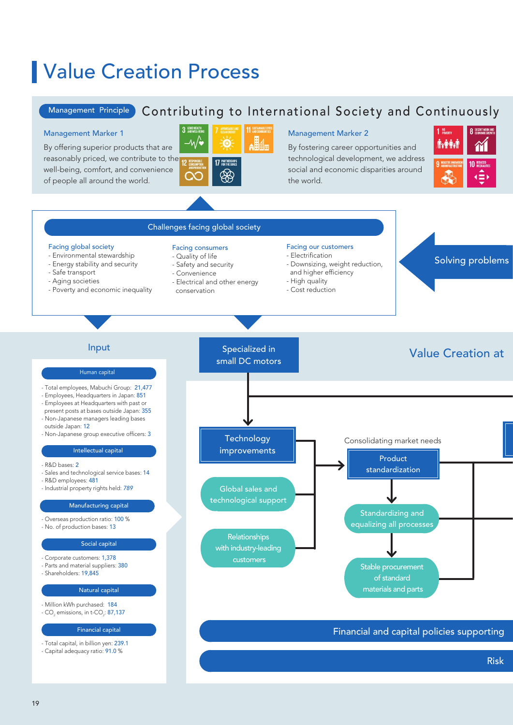# Value Creation Process

## Management Principle Contributing to International Society and Continuously

By offering superior products that are reasonably priced, we contribute to the well-being, comfort, and convenience of people all around the world.



By fostering career opportunities and technological development, we address social and economic disparities around the world.



### - Total employees, Mabuchi Group: 21,477 - Employees, Headquarters in Japan: 851 - Employees at Headquarters with past or present posts at bases outside Japan: 355 - Non-Japanese managers leading bases outside Japan: 12 - Non-Japanese group executive officers: 3 - R&D bases: 2 - Sales and technological service bases: 14 - R&D employees: 481 - Industrial property rights held: *789* - Overseas production ratio: 100 % - No. of production bases: 13 - Corporate customers: 1,378 - Parts and material suppliers: 380 - Shareholders: 19,845 - Million kWh purchased: 184 - CO $_{\tiny 2}$  emissions, in t-CO $_{\tiny 2}$ : **87,137** - Total capital, in billion yen: 239.1 - Capital adequacy ratio: 91.0 % Consolidating market needs Input Input Specialized in American Specialized in American Control of the Mabuchi Motor Creation at Facing global society - Environmental stewardship - Energy stability and security - Safe transport - Aging societies - Poverty and economic inequality Facing consumers - Quality of life - Safety and security - Convenience - Electrical and other energy conservation Facing our customers - Electrification - Downsizing, weight reduction, and higher efficiency - High quality - Cost reduction Challenges facing global society Stable procurement of standard materials and parts Relationships with industry-leading customers Financial and capital policies supporting Risk management Solving problems Standardizing and equalizing all processes Global sales and technological support Human capital Intellectual capital Manufacturing capital Social capital Natural capital Financial capital Product standardization Specialized in small DC motors **Technology** improvements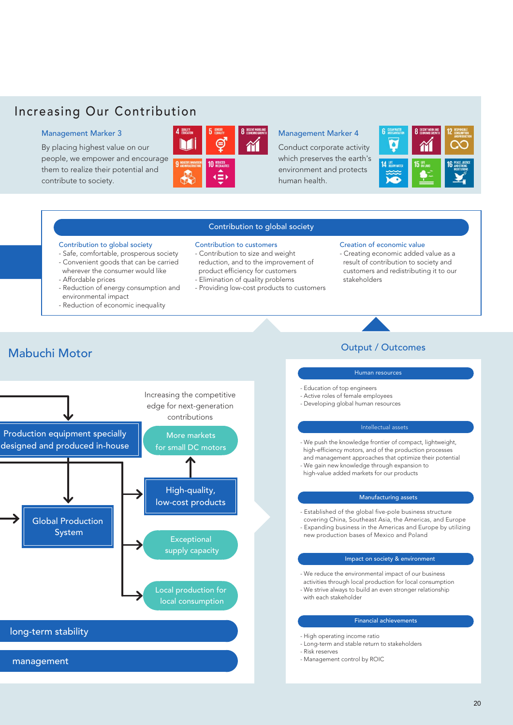## Increasing Our Contribution

By placing highest value on our people, we empower and encourage them to realize their potential and contribute to society.



Conduct corporate activity which preserves the earth's environment and protects human health.



### Contribution to global society

### Contribution to global society

- Safe, comfortable, prosperous society
- Convenient goods that can be carried
- wherever the consumer would like
- Affordable prices
- Reduction of energy consumption and environmental impact
- Reduction of economic inequality
- Contribution to customers
- Contribution to size and weight reduction, and to the improvement of product efficiency for customers
- Elimination of quality problems
- Providing low-cost products to customers

### Creation of economic value

- Creating economic added value as a result of contribution to society and customers and redistributing it to our stakeholders

## **Mabuchi Motor** Value Creation at Mabuchi Motor Creation at Mabuchi Motor Creation at Mabuchi Motor Creation at M



## Human resources

- Education of top engineers
- Active roles of female employees - Developing global human resources
- 

### Intellectual assets

- We push the knowledge frontier of compact, lightweight, high-efficiency motors, and of the production processes and management approaches that optimize their potential
- We gain new knowledge through expansion to high-value added markets for our products

### Manufacturing assets

- Established of the global five-pole business structure covering China, Southeast Asia, the Americas, and Europe - Expanding business in the Americas and Europe by utilizing new production bases of Mexico and Poland

### Impact on society & environment

- We reduce the environmental impact of our business activities through local production for local consumption
- We strive always to build an even stronger relationship with each stakeholder

### Financial achievements

- High operating income ratio
- Long-term and stable return to stakeholders
- Risk reserves
- Management control by ROIC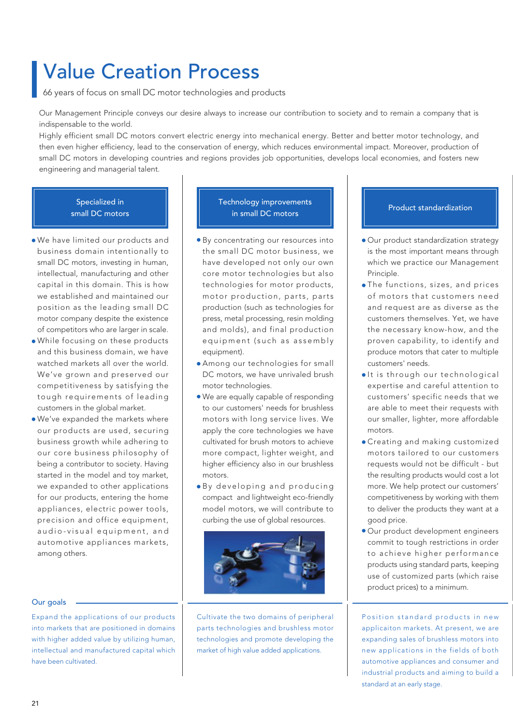# Value Creation Process

66 years of focus on small DC motor technologies and products

Our Management Principle conveys our desire always to increase our contribution to society and to remain a company that is indispensable to the world.

Highly efficient small DC motors convert electric energy into mechanical energy. Better and better motor technology, and then even higher efficiency, lead to the conservation of energy, which reduces environmental impact. Moreover, production of small DC motors in developing countries and regions provides job opportunities, develops local economies, and fosters new engineering and managerial talent.

## Specialized in small DC motors

- We have limited our products and business domain intentionally to small DC motors, investing in human, intellectual, manufacturing and other capital in this domain. This is how we established and maintained our position as the leading small DC motor company despite the existence of competitors who are larger in scale.
- While focusing on these products and this business domain, we have watched markets all over the world. We've grown and preserved our competitiveness by satisfying the tough requirements of leading customers in the global market.
- We've expanded the markets where our products are used, securing business growth while adhering to our core business philosophy of being a contributor to society. Having started in the model and toy market, we expanded to other applications for our products, entering the home appliances, electric power tools, precision and office equipment, audio-visual equipment, and automotive appliances markets, among others.

### Our goals

Expand the applications of our products into markets that are positioned in domains with higher added value by utilizing human, intellectual and manufactured capital which have been cultivated.

## Technology improvements in small DC motors **Product** standardization

- By concentrating our resources into the small DC motor business, we have developed not only our own core motor technologies but also technologies for motor products, motor production, parts, parts production (such as technologies for press, metal processing, resin molding and molds), and final production e quip m ent (such as assembly equipment).
- Among our technologies for small DC motors, we have unrivaled brush motor technologies.
- We are equally capable of responding to our customers' needs for brushless motors with long service lives. We apply the core technologies we have cultivated for brush motors to achieve more compact, lighter weight, and higher efficiency also in our brushless motors.
- · By developing and producing compact and lightweight eco-friendly model motors, we will contribute to curbing the use of global resources.



Cultivate the two domains of peripheral parts technologies and brushless motor technologies and promote developing the market of high value added applications.

- Our product standardization strategy is the most important means through which we practice our Management Principle.
- The functions, sizes, and prices of motors that customers need and request are as diverse as the customers themselves. Yet, we have the necessary know-how, and the proven capability, to identify and produce motors that cater to multiple customers' needs.
- $\bullet$ It is through our technological expertise and careful attention to customers' specific needs that we are able to meet their requests with our smaller, lighter, more affordable motors.
- Creating and making customized motors tailored to our customers requests would not be difficult - but the resulting products would cost a lot more. We help protect our customers' competitiveness by working with them to deliver the products they want at a good price.
- Our product development engineers commit to tough restrictions in order to achieve higher performance products using standard parts, keeping use of customized parts (which raise product prices) to a minimum.

Position standard products in new applicaiton markets. At present, we are expanding sales of brushless motors into new applications in the fields of both automotive appliances and consumer and industrial products and aiming to build a standard at an early stage.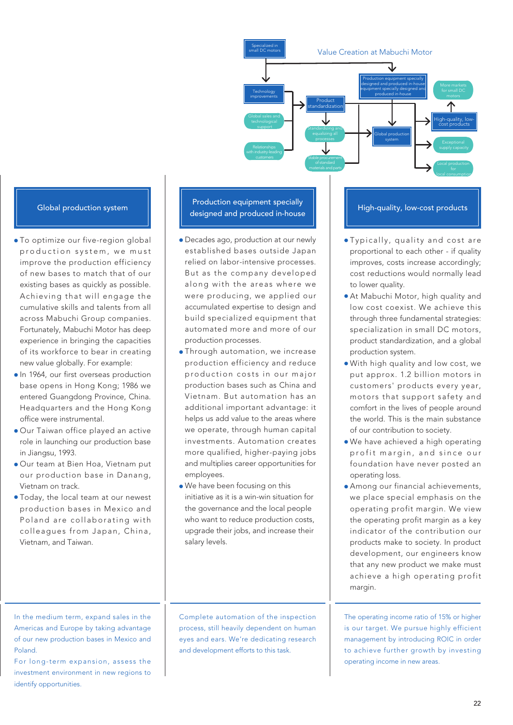Value Creation at Mabuchi Motor local consumption Stable procurement Relationships **Exceptiona** Standardizing and Product standardization Production equipment specially designed and produced in-house equipment specially designed and produced in-house Global production system Specialized in small DC motors **Technology** improvements High-quality, lowcost products

- To optimize our five-region global p r o duction system, we must improve the production efficiency of new bases to match that of our existing bases as quickly as possible. Achieving that will engage the cumulative skills and talents from all across Mabuchi Group companies. Fortunately, Mabuchi Motor has deep experience in bringing the capacities of its workforce to bear in creating new value globally. For example:
- **In 1964, our first overseas production** base opens in Hong Kong; 1986 we entered Guangdong Province, China. Headquarters and the Hong Kong office were instrumental.
- Our Taiwan office played an active role in launching our production base in Jiangsu, 1993.
- Our team at Bien Hoa, Vietnam put our production base in Danang, Vietnam on track.
- Today, the local team at our newest production bases in Mexico and Poland are collaborating with colleagues from Japan, China, Vietnam, and Taiwan.

Global production system **Production equipment specially** designed and produced in-house **High-quality, low-cost products** 

- Decades ago, production at our newly established bases outside Japan relied on labor-intensive processes. But as the company developed along with the areas where we were producing, we applied our accumulated expertise to design and build specialized equipment that automated more and more of our production processes.
- Through automation, we increase production efficiency and reduce p r o duction costs in our maior production bases such as China and Vietnam. But automation has an additional important advantage: it helps us add value to the areas where we operate, through human capital investments. Automation creates more qualified, higher-paying jobs and multiplies career opportunities for employees.
- We have been focusing on this initiative as it is a win-win situation for the governance and the local people who want to reduce production costs, upgrade their jobs, and increase their salary levels.

- · Typically, quality and cost are proportional to each other - if quality improves, costs increase accordingly; cost reductions would normally lead to lower quality.
- At Mabuchi Motor, high quality and low cost coexist. We achieve this through three fundamental strategies: specialization in small DC motors, product standardization, and a global production system.
- With high quality and low cost, we put approx. 1.2 billion motors in customers' products every year, motors that support safety and comfort in the lives of people around the world. This is the main substance of our contribution to society.
- We have achieved a high operating profit margin, and since our foundation have never posted an operating loss.
- Among our financial achievements, we place special emphasis on the operating profit margin. We view the operating profit margin as a key indicator of the contribution our products make to society. In product development, our engineers know that any new product we make must achieve a high operating profit margin.

The operating income ratio of 15% or higher is our target. We pursue highly efficient management by introducing ROIC in order to achieve further growth by investing operating income in new areas.

In the medium term, expand sales in the Americas and Europe by taking advantage of our new production bases in Mexico and Poland.

For long-term expansion, assess the investment environment in new regions to identify opportunities.

Complete automation of the inspection process, still heavily dependent on human eyes and ears. We're dedicating research and development efforts to this task.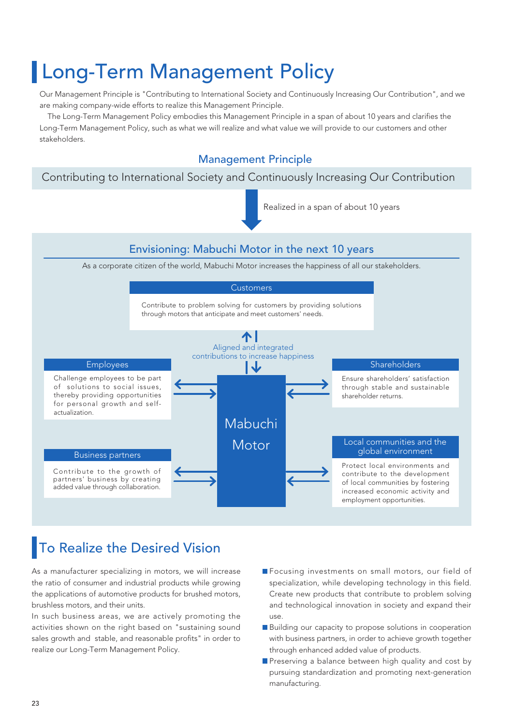# Long-Term Management Policy

Our Management Principle is "Contributing to International Society and Continuously Increasing Our Contribution", and we are making company-wide efforts to realize this Management Principle.

 The Long-Term Management Policy embodies this Management Principle in a span of about 10 years and clarifies the Long-Term Management Policy, such as what we will realize and what value we will provide to our customers and other stakeholders.

## Management Principle

## Contributing to International Society and Continuously Increasing Our Contribution

Realized in a span of about 10 years



# To Realize the Desired Vision

As a manufacturer specializing in motors, we will increase the ratio of consumer and industrial products while growing the applications of automotive products for brushed motors, brushless motors, and their units.

In such business areas, we are actively promoting the activities shown on the right based on "sustaining sound sales growth and stable, and reasonable profits" in order to realize our Long-Term Management Policy.

- **F**ocusing investments on small motors, our field of specialization, while developing technology in this field. Create new products that contribute to problem solving and technological innovation in society and expand their use.
- Building our capacity to propose solutions in cooperation with business partners, in order to achieve growth together through enhanced added value of products.
- Preserving a balance between high quality and cost by pursuing standardization and promoting next-generation manufacturing.